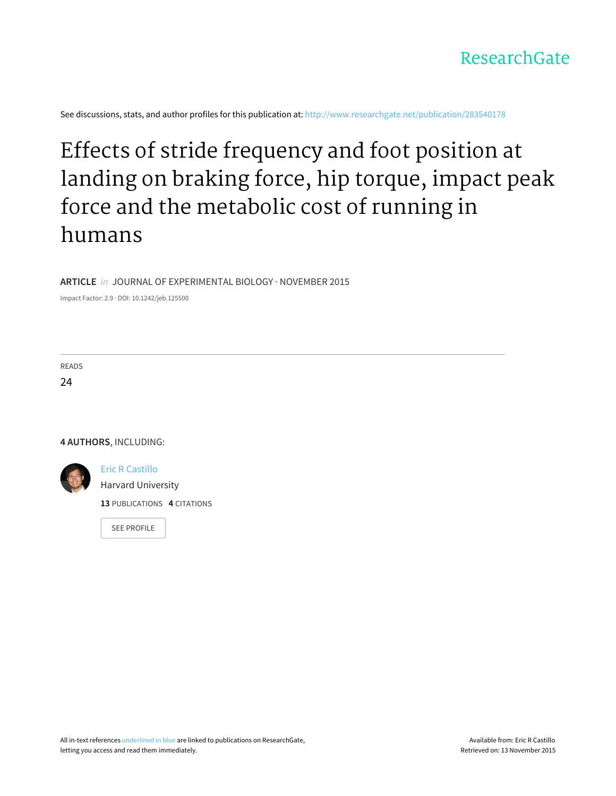

See discussions, stats, and author profiles for this publication at: [http://www.researchgate.net/publication/283540178](http://www.researchgate.net/publication/283540178_Effects_of_stride_frequency_and_foot_position_at_landing_on_braking_force_hip_torque_impact_peak_force_and_the_metabolic_cost_of_running_in_humans?enrichId=rgreq-d0faa58c-1257-43c2-a4d9-0a79f6db3556&enrichSource=Y292ZXJQYWdlOzI4MzU0MDE3ODtBUzoyOTM4NzY2NzA3MTM4NTdAMTQ0NzA3NzA2NjIwMw%3D%3D&el=1_x_2)

# Effects of stride [frequency](http://www.researchgate.net/publication/283540178_Effects_of_stride_frequency_and_foot_position_at_landing_on_braking_force_hip_torque_impact_peak_force_and_the_metabolic_cost_of_running_in_humans?enrichId=rgreq-d0faa58c-1257-43c2-a4d9-0a79f6db3556&enrichSource=Y292ZXJQYWdlOzI4MzU0MDE3ODtBUzoyOTM4NzY2NzA3MTM4NTdAMTQ0NzA3NzA2NjIwMw%3D%3D&el=1_x_3) and foot position at landing on braking force, hip torque, impact peak force and the metabolic cost of running in humans

# **ARTICLE** in JOURNAL OF EXPERIMENTAL BIOLOGY · NOVEMBER 2015

Impact Factor: 2.9 · DOI: 10.1242/jeb.125500

READS 24

**4 AUTHORS**, INCLUDING:



Eric R [Castillo](http://www.researchgate.net/profile/Eric_Castillo2?enrichId=rgreq-d0faa58c-1257-43c2-a4d9-0a79f6db3556&enrichSource=Y292ZXJQYWdlOzI4MzU0MDE3ODtBUzoyOTM4NzY2NzA3MTM4NTdAMTQ0NzA3NzA2NjIwMw%3D%3D&el=1_x_5) Harvard [University](http://www.researchgate.net/institution/Harvard_University?enrichId=rgreq-d0faa58c-1257-43c2-a4d9-0a79f6db3556&enrichSource=Y292ZXJQYWdlOzI4MzU0MDE3ODtBUzoyOTM4NzY2NzA3MTM4NTdAMTQ0NzA3NzA2NjIwMw%3D%3D&el=1_x_6) **13** PUBLICATIONS **4** CITATIONS

SEE [PROFILE](http://www.researchgate.net/profile/Eric_Castillo2?enrichId=rgreq-d0faa58c-1257-43c2-a4d9-0a79f6db3556&enrichSource=Y292ZXJQYWdlOzI4MzU0MDE3ODtBUzoyOTM4NzY2NzA3MTM4NTdAMTQ0NzA3NzA2NjIwMw%3D%3D&el=1_x_7)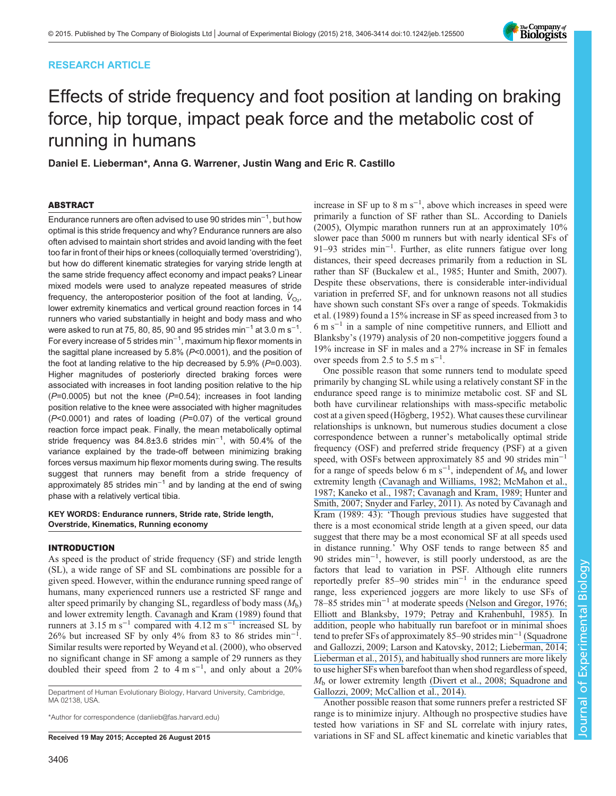# RESEARCH ARTICLE



# Effects of stride frequency and foot position at landing on braking force, hip torque, impact peak force and the metabolic cost of running in humans

Daniel E. Lieberman\*, Anna G. Warrener, Justin Wang and Eric R. Castillo

# ABSTRACT

Endurance runners are often advised to use 90 strides  $min^{-1}$ , but how optimal is this stride frequency and why? Endurance runners are also often advised to maintain short strides and avoid landing with the feet too far in front of their hips or knees (colloquially termed 'overstriding'), but how do different kinematic strategies for varying stride length at the same stride frequency affect economy and impact peaks? Linear mixed models were used to analyze repeated measures of stride frequency, the anteroposterior position of the foot at landing,  $\dot{\mathsf{V}}_{\text{O}_2}$ , lower extremity kinematics and vertical ground reaction forces in 14 runners who varied substantially in height and body mass and who were asked to run at 75, 80, 85, 90 and 95 strides min $^{-1}$  at 3.0 m s $^{-1}\!.$ For every increase of 5 strides min−<sup>1</sup> , maximum hip flexor moments in the sagittal plane increased by 5.8% (P<0.0001), and the position of the foot at landing relative to the hip decreased by  $5.9\%$  ( $P=0.003$ ). Higher magnitudes of posteriorly directed braking forces were associated with increases in foot landing position relative to the hip  $(P=0.0005)$  but not the knee  $(P=0.54)$ ; increases in foot landing position relative to the knee were associated with higher magnitudes  $(P<0.0001)$  and rates of loading  $(P=0.07)$  of the vertical ground reaction force impact peak. Finally, the mean metabolically optimal stride frequency was 84.8±3.6 strides min<sup>-1</sup>, with 50.4% of the variance explained by the trade-off between minimizing braking forces versus maximum hip flexor moments during swing. The results suggest that runners may benefit from a stride frequency of approximately 85 strides min−<sup>1</sup> and by landing at the end of swing phase with a relatively vertical tibia.

KEY WORDS: Endurance runners, Stride rate, Stride length, Overstride, Kinematics, Running economy

## INTRODUCTION

As speed is the product of stride frequency (SF) and stride length (SL), a wide range of SF and SL combinations are possible for a given speed. However, within the endurance running speed range of humans, many experienced runners use a restricted SF range and alter speed primarily by changing SL, regardless of body mass  $(M<sub>b</sub>)$ and lower extremity length. [Cavanagh and Kram \(1989\)](#page-9-0) found that runners at 3.15 m s<sup>-1</sup> compared with 4.12 m s<sup>-1</sup> increased SL by 26% but increased SF by only 4% from 83 to 86 strides min−<sup>1</sup> . Similar results were reported by [Weyand et al. \(2000\),](#page-9-0) who observed no significant change in SF among a sample of 29 runners as they doubled their speed from 2 to  $4 \text{ m s}^{-1}$ , and only about a 20%

Department of Human Evolutionary Biology, Harvard University, Cambridge, MA 02138, USA.

\*Author for correspondence [\(danlieb@fas.harvard.edu](mailto:danlieb@fas.harvard.edu))

increase in SF up to 8 m  $s^{-1}$ , above which increases in speed were primarily a function of SF rather than SL. According to [Daniels](#page-9-0) [\(2005\)](#page-9-0), Olympic marathon runners run at an approximately 10% slower pace than 5000 m runners but with nearly identical SFs of 91–93 strides min−<sup>1</sup> . Further, as elite runners fatigue over long distances, their speed decreases primarily from a reduction in SL rather than SF ([Buckalew et al., 1985; Hunter and Smith, 2007\)](#page-9-0). Despite these observations, there is considerable inter-individual variation in preferred SF, and for unknown reasons not all studies have shown such constant SFs over a range of speeds. [Tokmakidis](#page-9-0) [et al. \(1989\)](#page-9-0) found a 15% increase in SF as speed increased from 3 to 6ms−<sup>1</sup> in a sample of nine competitive runners, and [Elliott and](#page-9-0) [Blanksby](#page-9-0)'s (1979) analysis of 20 non-competitive joggers found a 19% increase in SF in males and a 27% increase in SF in females over speeds from 2.5 to 5.5 m  $s^{-1}$ .

One possible reason that some runners tend to modulate speed primarily by changing SL while using a relatively constant SF in the endurance speed range is to minimize metabolic cost. SF and SL both have curvilinear relationships with mass-specific metabolic cost at a given speed [\(Högberg, 1952](#page-9-0)). What causes these curvilinear relationships is unknown, but numerous studies document a close correspondence between a runner's metabolically optimal stride frequency (OSF) and preferred stride frequency (PSF) at a given speed, with OSFs between approximately 85 and 90 strides min<sup>-1</sup> for a range of speeds below 6 m s<sup>-1</sup>, independent of  $M<sub>b</sub>$  and lower extremity length [\(](https://www.researchgate.net/publication/20480832_Stride_length_in_distance_running_Velocity_body_dimensions_and_added_mass_effects?el=1_x_8&enrichId=rgreq-d0faa58c-1257-43c2-a4d9-0a79f6db3556&enrichSource=Y292ZXJQYWdlOzI4MzU0MDE3ODtBUzoyOTM4NzY2NzA3MTM4NTdAMTQ0NzA3NzA2NjIwMw==)[Cavanagh and Williams, 1982](#page-9-0)[;](https://www.researchgate.net/publication/20480832_Stride_length_in_distance_running_Velocity_body_dimensions_and_added_mass_effects?el=1_x_8&enrichId=rgreq-d0faa58c-1257-43c2-a4d9-0a79f6db3556&enrichSource=Y292ZXJQYWdlOzI4MzU0MDE3ODtBUzoyOTM4NzY2NzA3MTM4NTdAMTQ0NzA3NzA2NjIwMw==) [McMahon et al.,](#page-9-0) [1987](#page-9-0)[;](https://www.researchgate.net/publication/20480832_Stride_length_in_distance_running_Velocity_body_dimensions_and_added_mass_effects?el=1_x_8&enrichId=rgreq-d0faa58c-1257-43c2-a4d9-0a79f6db3556&enrichSource=Y292ZXJQYWdlOzI4MzU0MDE3ODtBUzoyOTM4NzY2NzA3MTM4NTdAMTQ0NzA3NzA2NjIwMw==) [Kaneko et al., 1987](#page-9-0)[;](https://www.researchgate.net/publication/20480832_Stride_length_in_distance_running_Velocity_body_dimensions_and_added_mass_effects?el=1_x_8&enrichId=rgreq-d0faa58c-1257-43c2-a4d9-0a79f6db3556&enrichSource=Y292ZXJQYWdlOzI4MzU0MDE3ODtBUzoyOTM4NzY2NzA3MTM4NTdAMTQ0NzA3NzA2NjIwMw==) [Cavanagh and Kram, 1989](#page-9-0)[;](https://www.researchgate.net/publication/20480832_Stride_length_in_distance_running_Velocity_body_dimensions_and_added_mass_effects?el=1_x_8&enrichId=rgreq-d0faa58c-1257-43c2-a4d9-0a79f6db3556&enrichSource=Y292ZXJQYWdlOzI4MzU0MDE3ODtBUzoyOTM4NzY2NzA3MTM4NTdAMTQ0NzA3NzA2NjIwMw==) [Hunter and](#page-9-0) [Smith, 2007](#page-9-0)[;](https://www.researchgate.net/publication/51166164_Energetically_optimal_stride_frequency_in_running_the_effects_of_incline_and_decline?el=1_x_8&enrichId=rgreq-d0faa58c-1257-43c2-a4d9-0a79f6db3556&enrichSource=Y292ZXJQYWdlOzI4MzU0MDE3ODtBUzoyOTM4NzY2NzA3MTM4NTdAMTQ0NzA3NzA2NjIwMw==) [Snyder and Farley, 2011](#page-9-0)[\).](https://www.researchgate.net/publication/51166164_Energetically_optimal_stride_frequency_in_running_the_effects_of_incline_and_decline?el=1_x_8&enrichId=rgreq-d0faa58c-1257-43c2-a4d9-0a79f6db3556&enrichSource=Y292ZXJQYWdlOzI4MzU0MDE3ODtBUzoyOTM4NzY2NzA3MTM4NTdAMTQ0NzA3NzA2NjIwMw==) As noted by [Cavanagh and](#page-9-0) [Kram \(1989](#page-9-0): 43): 'Though previous studies have suggested that there is a most economical stride length at a given speed, our data suggest that there may be a most economical SF at all speeds used in distance running.' Why OSF tends to range between 85 and 90 strides min−<sup>1</sup> , however, is still poorly understood, as are the factors that lead to variation in PSF. Although elite runners reportedly prefer 85–90 strides min−<sup>1</sup> in the endurance speed range, less experienced joggers are more likely to use SFs of 78–85 strides min−<sup>1</sup> at moderate speeds [\(](https://www.researchgate.net/publication/22676177_Optimal_stride_length_considerations_for_male_and_female_recreational_runners?el=1_x_8&enrichId=rgreq-d0faa58c-1257-43c2-a4d9-0a79f6db3556&enrichSource=Y292ZXJQYWdlOzI4MzU0MDE3ODtBUzoyOTM4NzY2NzA3MTM4NTdAMTQ0NzA3NzA2NjIwMw==)[Nelson and Gregor, 1976](#page-9-0)[;](https://www.researchgate.net/publication/22676177_Optimal_stride_length_considerations_for_male_and_female_recreational_runners?el=1_x_8&enrichId=rgreq-d0faa58c-1257-43c2-a4d9-0a79f6db3556&enrichSource=Y292ZXJQYWdlOzI4MzU0MDE3ODtBUzoyOTM4NzY2NzA3MTM4NTdAMTQ0NzA3NzA2NjIwMw==) [Elliott and Blanksby, 1979](#page-9-0)[;](https://www.researchgate.net/publication/22676177_Optimal_stride_length_considerations_for_male_and_female_recreational_runners?el=1_x_8&enrichId=rgreq-d0faa58c-1257-43c2-a4d9-0a79f6db3556&enrichSource=Y292ZXJQYWdlOzI4MzU0MDE3ODtBUzoyOTM4NzY2NzA3MTM4NTdAMTQ0NzA3NzA2NjIwMw==) [Petray and Krahenbuhl, 1985](#page-9-0)[\).](https://www.researchgate.net/publication/22676177_Optimal_stride_length_considerations_for_male_and_female_recreational_runners?el=1_x_8&enrichId=rgreq-d0faa58c-1257-43c2-a4d9-0a79f6db3556&enrichSource=Y292ZXJQYWdlOzI4MzU0MDE3ODtBUzoyOTM4NzY2NzA3MTM4NTdAMTQ0NzA3NzA2NjIwMw==) In addition, people who habitually run barefoot or in minimal shoes tend to prefer SFs of approximately 85–90 strides min−<sup>1</sup> [\(](https://www.researchgate.net/publication/23972976_Squadrone_R_Gallozzi_C._Biomechanical_and_physiological_comparison_of_barefoot_and_two_shod_conditions_in_experienced_barefoot_runners?el=1_x_8&enrichId=rgreq-d0faa58c-1257-43c2-a4d9-0a79f6db3556&enrichSource=Y292ZXJQYWdlOzI4MzU0MDE3ODtBUzoyOTM4NzY2NzA3MTM4NTdAMTQ0NzA3NzA2NjIwMw==)[Squadrone](#page-9-0) [and Gallozzi, 2009](#page-9-0)[;](https://www.researchgate.net/publication/23972976_Squadrone_R_Gallozzi_C._Biomechanical_and_physiological_comparison_of_barefoot_and_two_shod_conditions_in_experienced_barefoot_runners?el=1_x_8&enrichId=rgreq-d0faa58c-1257-43c2-a4d9-0a79f6db3556&enrichSource=Y292ZXJQYWdlOzI4MzU0MDE3ODtBUzoyOTM4NzY2NzA3MTM4NTdAMTQ0NzA3NzA2NjIwMw==) [Larson and Katovsky, 2012](#page-9-0)[;](https://www.researchgate.net/publication/23972976_Squadrone_R_Gallozzi_C._Biomechanical_and_physiological_comparison_of_barefoot_and_two_shod_conditions_in_experienced_barefoot_runners?el=1_x_8&enrichId=rgreq-d0faa58c-1257-43c2-a4d9-0a79f6db3556&enrichSource=Y292ZXJQYWdlOzI4MzU0MDE3ODtBUzoyOTM4NzY2NzA3MTM4NTdAMTQ0NzA3NzA2NjIwMw==) [Lieberman, 2014](#page-9-0)[;](https://www.researchgate.net/publication/23972976_Squadrone_R_Gallozzi_C._Biomechanical_and_physiological_comparison_of_barefoot_and_two_shod_conditions_in_experienced_barefoot_runners?el=1_x_8&enrichId=rgreq-d0faa58c-1257-43c2-a4d9-0a79f6db3556&enrichSource=Y292ZXJQYWdlOzI4MzU0MDE3ODtBUzoyOTM4NzY2NzA3MTM4NTdAMTQ0NzA3NzA2NjIwMw==) [Lieberman et al., 2015](#page-9-0)[\),](https://www.researchgate.net/publication/23972976_Squadrone_R_Gallozzi_C._Biomechanical_and_physiological_comparison_of_barefoot_and_two_shod_conditions_in_experienced_barefoot_runners?el=1_x_8&enrichId=rgreq-d0faa58c-1257-43c2-a4d9-0a79f6db3556&enrichSource=Y292ZXJQYWdlOzI4MzU0MDE3ODtBUzoyOTM4NzY2NzA3MTM4NTdAMTQ0NzA3NzA2NjIwMw==) and habitually shod runners are more likely to use higher SFs when barefoot than when shod regardless of speed,  $M<sub>b</sub>$  or lower extremity length [\(](https://www.researchgate.net/publication/5820585_Barefoot-Shod_Running_Differences_Shoe_or_Mass_Effect?el=1_x_8&enrichId=rgreq-d0faa58c-1257-43c2-a4d9-0a79f6db3556&enrichSource=Y292ZXJQYWdlOzI4MzU0MDE3ODtBUzoyOTM4NzY2NzA3MTM4NTdAMTQ0NzA3NzA2NjIwMw==)[Divert et al., 2008](#page-9-0)[;](https://www.researchgate.net/publication/5820585_Barefoot-Shod_Running_Differences_Shoe_or_Mass_Effect?el=1_x_8&enrichId=rgreq-d0faa58c-1257-43c2-a4d9-0a79f6db3556&enrichSource=Y292ZXJQYWdlOzI4MzU0MDE3ODtBUzoyOTM4NzY2NzA3MTM4NTdAMTQ0NzA3NzA2NjIwMw==) [Squadrone and](#page-9-0) [Gallozzi, 2009](#page-9-0)[;](https://www.researchgate.net/publication/5820585_Barefoot-Shod_Running_Differences_Shoe_or_Mass_Effect?el=1_x_8&enrichId=rgreq-d0faa58c-1257-43c2-a4d9-0a79f6db3556&enrichSource=Y292ZXJQYWdlOzI4MzU0MDE3ODtBUzoyOTM4NzY2NzA3MTM4NTdAMTQ0NzA3NzA2NjIwMw==) [McCallion et al., 2014](#page-9-0)[\).](https://www.researchgate.net/publication/5820585_Barefoot-Shod_Running_Differences_Shoe_or_Mass_Effect?el=1_x_8&enrichId=rgreq-d0faa58c-1257-43c2-a4d9-0a79f6db3556&enrichSource=Y292ZXJQYWdlOzI4MzU0MDE3ODtBUzoyOTM4NzY2NzA3MTM4NTdAMTQ0NzA3NzA2NjIwMw==)

Another possible reason that some runners prefer a restricted SF range is to minimize injury. Although no prospective studies have tested how variations in SF and SL correlate with injury rates, Received 19 May 2015; Accepted 26 August 2015 variations in SF and SL affect kinematic and kinetic variables that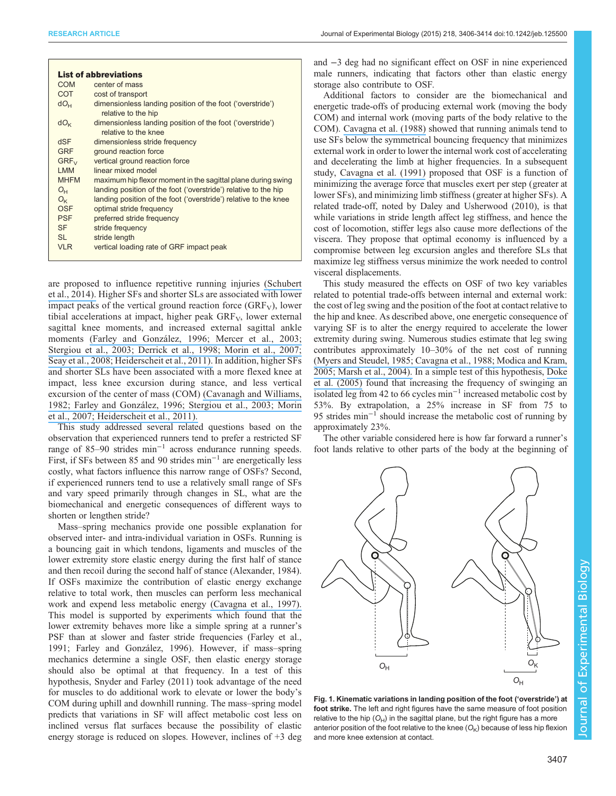<span id="page-2-0"></span>

|              | <b>List of abbreviations</b>                                                      |
|--------------|-----------------------------------------------------------------------------------|
| COM          | center of mass                                                                    |
| <b>COT</b>   | cost of transport                                                                 |
| $dO_{H}$     | dimensionless landing position of the foot ('overstride')<br>relative to the hip  |
| $dO_{K}$     | dimensionless landing position of the foot ('overstride')<br>relative to the knee |
| <b>dSF</b>   | dimensionless stride frequency                                                    |
| <b>GRF</b>   | ground reaction force                                                             |
| $GRF_{V}$    | vertical ground reaction force                                                    |
| <b>LMM</b>   | linear mixed model                                                                |
| <b>MHFM</b>  | maximum hip flexor moment in the sagittal plane during swing                      |
| $O_{H}$      | landing position of the foot ('overstride') relative to the hip                   |
| $O_{\kappa}$ | landing position of the foot ('overstride') relative to the knee                  |
| OSF          | optimal stride frequency                                                          |
| <b>PSF</b>   | preferred stride frequency                                                        |
| <b>SF</b>    | stride frequency                                                                  |
| SI.          | stride length                                                                     |
| <b>VLR</b>   | vertical loading rate of GRF impact peak                                          |
|              |                                                                                   |

are proposed to influence repetitive running injuries [\(](https://www.researchgate.net/publication/262021758_Influence_of_Stride_Frequency_and_Length_on_Running_Mechanics_A_Systematic_Review?el=1_x_8&enrichId=rgreq-d0faa58c-1257-43c2-a4d9-0a79f6db3556&enrichSource=Y292ZXJQYWdlOzI4MzU0MDE3ODtBUzoyOTM4NzY2NzA3MTM4NTdAMTQ0NzA3NzA2NjIwMw==)[Schubert](#page-9-0) [et al., 2014](#page-9-0)[\).](https://www.researchgate.net/publication/262021758_Influence_of_Stride_Frequency_and_Length_on_Running_Mechanics_A_Systematic_Review?el=1_x_8&enrichId=rgreq-d0faa58c-1257-43c2-a4d9-0a79f6db3556&enrichSource=Y292ZXJQYWdlOzI4MzU0MDE3ODtBUzoyOTM4NzY2NzA3MTM4NTdAMTQ0NzA3NzA2NjIwMw==) Higher SFs and shorter SLs are associated with lower impact peaks of the vertical ground reaction force  $(GRF_V)$ , lower tibial accelerations at impact, higher peak  $GRF_V$ , lower external sagittal knee moments, and increased external sagittal ankle moments [\(](https://www.researchgate.net/publication/13754618_Energy_absorption_of_impacts_during_running_at_various_stride_length?el=1_x_8&enrichId=rgreq-d0faa58c-1257-43c2-a4d9-0a79f6db3556&enrichSource=Y292ZXJQYWdlOzI4MzU0MDE3ODtBUzoyOTM4NzY2NzA3MTM4NTdAMTQ0NzA3NzA2NjIwMw==)[Farley and González, 1996](#page-9-0)[;](https://www.researchgate.net/publication/13754618_Energy_absorption_of_impacts_during_running_at_various_stride_length?el=1_x_8&enrichId=rgreq-d0faa58c-1257-43c2-a4d9-0a79f6db3556&enrichSource=Y292ZXJQYWdlOzI4MzU0MDE3ODtBUzoyOTM4NzY2NzA3MTM4NTdAMTQ0NzA3NzA2NjIwMw==) [Mercer et al., 2003](#page-9-0)[;](https://www.researchgate.net/publication/13754618_Energy_absorption_of_impacts_during_running_at_various_stride_length?el=1_x_8&enrichId=rgreq-d0faa58c-1257-43c2-a4d9-0a79f6db3556&enrichSource=Y292ZXJQYWdlOzI4MzU0MDE3ODtBUzoyOTM4NzY2NzA3MTM4NTdAMTQ0NzA3NzA2NjIwMw==) [Stergiou et al., 2003](#page-9-0)[;](https://www.researchgate.net/publication/13754618_Energy_absorption_of_impacts_during_running_at_various_stride_length?el=1_x_8&enrichId=rgreq-d0faa58c-1257-43c2-a4d9-0a79f6db3556&enrichSource=Y292ZXJQYWdlOzI4MzU0MDE3ODtBUzoyOTM4NzY2NzA3MTM4NTdAMTQ0NzA3NzA2NjIwMw==) [Derrick et al., 1998](#page-9-0)[;](https://www.researchgate.net/publication/13754618_Energy_absorption_of_impacts_during_running_at_various_stride_length?el=1_x_8&enrichId=rgreq-d0faa58c-1257-43c2-a4d9-0a79f6db3556&enrichSource=Y292ZXJQYWdlOzI4MzU0MDE3ODtBUzoyOTM4NzY2NzA3MTM4NTdAMTQ0NzA3NzA2NjIwMw==) [Morin et al., 2007](#page-9-0)[;](https://www.researchgate.net/publication/13754618_Energy_absorption_of_impacts_during_running_at_various_stride_length?el=1_x_8&enrichId=rgreq-d0faa58c-1257-43c2-a4d9-0a79f6db3556&enrichSource=Y292ZXJQYWdlOzI4MzU0MDE3ODtBUzoyOTM4NzY2NzA3MTM4NTdAMTQ0NzA3NzA2NjIwMw==) [Seay et al., 2008](#page-9-0)[;](https://www.researchgate.net/publication/13754618_Energy_absorption_of_impacts_during_running_at_various_stride_length?el=1_x_8&enrichId=rgreq-d0faa58c-1257-43c2-a4d9-0a79f6db3556&enrichSource=Y292ZXJQYWdlOzI4MzU0MDE3ODtBUzoyOTM4NzY2NzA3MTM4NTdAMTQ0NzA3NzA2NjIwMw==) [Heiderscheit et al., 2011](#page-9-0)[\).](https://www.researchgate.net/publication/13754618_Energy_absorption_of_impacts_during_running_at_various_stride_length?el=1_x_8&enrichId=rgreq-d0faa58c-1257-43c2-a4d9-0a79f6db3556&enrichSource=Y292ZXJQYWdlOzI4MzU0MDE3ODtBUzoyOTM4NzY2NzA3MTM4NTdAMTQ0NzA3NzA2NjIwMw==) In addition, higher SFs and shorter SLs have been associated with a more flexed knee at impact, less knee excursion during stance, and less vertical excursion of the center of mass (COM) [\(](https://www.researchgate.net/publication/16129299_Cavanagh_PR_Williams_KR._The_effect_of_stride_length_variation_on_oxygen_uptake_during_distance_running._Med_Sci_Sports_Exerc.14(1)30-5?el=1_x_8&enrichId=rgreq-d0faa58c-1257-43c2-a4d9-0a79f6db3556&enrichSource=Y292ZXJQYWdlOzI4MzU0MDE3ODtBUzoyOTM4NzY2NzA3MTM4NTdAMTQ0NzA3NzA2NjIwMw==)[Cavanagh and Williams,](#page-9-0) [1982](#page-9-0)[;](https://www.researchgate.net/publication/16129299_Cavanagh_PR_Williams_KR._The_effect_of_stride_length_variation_on_oxygen_uptake_during_distance_running._Med_Sci_Sports_Exerc.14(1)30-5?el=1_x_8&enrichId=rgreq-d0faa58c-1257-43c2-a4d9-0a79f6db3556&enrichSource=Y292ZXJQYWdlOzI4MzU0MDE3ODtBUzoyOTM4NzY2NzA3MTM4NTdAMTQ0NzA3NzA2NjIwMw==) [Farley and González, 1996](#page-9-0)[;](https://www.researchgate.net/publication/16129299_Cavanagh_PR_Williams_KR._The_effect_of_stride_length_variation_on_oxygen_uptake_during_distance_running._Med_Sci_Sports_Exerc.14(1)30-5?el=1_x_8&enrichId=rgreq-d0faa58c-1257-43c2-a4d9-0a79f6db3556&enrichSource=Y292ZXJQYWdlOzI4MzU0MDE3ODtBUzoyOTM4NzY2NzA3MTM4NTdAMTQ0NzA3NzA2NjIwMw==) [Stergiou et al., 2003](#page-9-0)[;](https://www.researchgate.net/publication/16129299_Cavanagh_PR_Williams_KR._The_effect_of_stride_length_variation_on_oxygen_uptake_during_distance_running._Med_Sci_Sports_Exerc.14(1)30-5?el=1_x_8&enrichId=rgreq-d0faa58c-1257-43c2-a4d9-0a79f6db3556&enrichSource=Y292ZXJQYWdlOzI4MzU0MDE3ODtBUzoyOTM4NzY2NzA3MTM4NTdAMTQ0NzA3NzA2NjIwMw==) [Morin](#page-9-0) [et al., 2007](#page-9-0)[;](https://www.researchgate.net/publication/16129299_Cavanagh_PR_Williams_KR._The_effect_of_stride_length_variation_on_oxygen_uptake_during_distance_running._Med_Sci_Sports_Exerc.14(1)30-5?el=1_x_8&enrichId=rgreq-d0faa58c-1257-43c2-a4d9-0a79f6db3556&enrichSource=Y292ZXJQYWdlOzI4MzU0MDE3ODtBUzoyOTM4NzY2NzA3MTM4NTdAMTQ0NzA3NzA2NjIwMw==) [Heiderscheit et al., 2011](#page-9-0)[\).](https://www.researchgate.net/publication/16129299_Cavanagh_PR_Williams_KR._The_effect_of_stride_length_variation_on_oxygen_uptake_during_distance_running._Med_Sci_Sports_Exerc.14(1)30-5?el=1_x_8&enrichId=rgreq-d0faa58c-1257-43c2-a4d9-0a79f6db3556&enrichSource=Y292ZXJQYWdlOzI4MzU0MDE3ODtBUzoyOTM4NzY2NzA3MTM4NTdAMTQ0NzA3NzA2NjIwMw==)

This study addressed several related questions based on the observation that experienced runners tend to prefer a restricted SF range of 85–90 strides min−<sup>1</sup> across endurance running speeds. First, if SFs between 85 and 90 strides min−<sup>1</sup> are energetically less costly, what factors influence this narrow range of OSFs? Second, if experienced runners tend to use a relatively small range of SFs and vary speed primarily through changes in SL, what are the biomechanical and energetic consequences of different ways to shorten or lengthen stride?

Mass–spring mechanics provide one possible explanation for observed inter- and intra-individual variation in OSFs. Running is a bouncing gait in which tendons, ligaments and muscles of the lower extremity store elastic energy during the first half of stance and then recoil during the second half of stance ([Alexander, 1984\)](#page-8-0). If OSFs maximize the contribution of elastic energy exchange relative to total work, then muscles can perform less mechanical work and expend less metabolic energy [\(](https://www.researchgate.net/publication/13915696_The_resonant_step_frequency_in_human_running?el=1_x_8&enrichId=rgreq-d0faa58c-1257-43c2-a4d9-0a79f6db3556&enrichSource=Y292ZXJQYWdlOzI4MzU0MDE3ODtBUzoyOTM4NzY2NzA3MTM4NTdAMTQ0NzA3NzA2NjIwMw==)[Cavagna et al., 1997](#page-9-0)[\).](https://www.researchgate.net/publication/13915696_The_resonant_step_frequency_in_human_running?el=1_x_8&enrichId=rgreq-d0faa58c-1257-43c2-a4d9-0a79f6db3556&enrichSource=Y292ZXJQYWdlOzI4MzU0MDE3ODtBUzoyOTM4NzY2NzA3MTM4NTdAMTQ0NzA3NzA2NjIwMw==) This model is supported by experiments which found that the lower extremity behaves more like a simple spring at a runner's PSF than at slower and faster stride frequencies [\(Farley et al.,](#page-9-0) [1991](#page-9-0); [Farley and González, 1996](#page-9-0)). However, if mass–spring mechanics determine a single OSF, then elastic energy storage should also be optimal at that frequency. In a test of this hypothesis, [Snyder and Farley \(2011\)](#page-9-0) took advantage of the need for muscles to do additional work to elevate or lower the body's COM during uphill and downhill running. The mass–spring model predicts that variations in SF will affect metabolic cost less on inclined versus flat surfaces because the possibility of elastic energy storage is reduced on slopes. However, inclines of +3 deg

and −3 deg had no significant effect on OSF in nine experienced male runners, indicating that factors other than elastic energy storage also contribute to OSF.

Additional factors to consider are the biomechanical and energetic trade-offs of producing external work (moving the body COM) and internal work (moving parts of the body relative to the COM). [Cavagna et al. \(1988\)](#page-9-0) showed that running animals tend to use SFs below the symmetrical bouncing frequency that minimizes external work in order to lower the internal work cost of accelerating and decelerating the limb at higher frequencies. In a subsequent study, [Cavagna et al. \(1991\)](#page-9-0) proposed that OSF is a function of minimizing the average force that muscles exert per step (greater at lower SFs), and minimizing limb stiffness (greater at higher SFs). A related trade-off, noted by [Daley and Usherwood \(2010\),](#page-9-0) is that while variations in stride length affect leg stiffness, and hence the cost of locomotion, stiffer legs also cause more deflections of the viscera. They propose that optimal economy is influenced by a compromise between leg excursion angles and therefore SLs that maximize leg stiffness versus minimize the work needed to control visceral displacements.

This study measured the effects on OSF of two key variables related to potential trade-offs between internal and external work: the cost of leg swing and the position of the foot at contact relative to the hip and knee. As described above, one energetic consequence of varying SF is to alter the energy required to accelerate the lower extremity during swing. Numerous studies estimate that leg swing contributes approximately 10–30% of the net cost of running [\(](https://www.researchgate.net/publication/19750807_The_determinants_of_step_frequency_in_running_trotting_and_hopping_in_man_and_other_vertebrates._J._Physiol._Lond._39981-92?el=1_x_8&enrichId=rgreq-d0faa58c-1257-43c2-a4d9-0a79f6db3556&enrichSource=Y292ZXJQYWdlOzI4MzU0MDE3ODtBUzoyOTM4NzY2NzA3MTM4NTdAMTQ0NzA3NzA2NjIwMw==)[Myers and Steudel, 1985](#page-9-0)[;](https://www.researchgate.net/publication/19750807_The_determinants_of_step_frequency_in_running_trotting_and_hopping_in_man_and_other_vertebrates._J._Physiol._Lond._39981-92?el=1_x_8&enrichId=rgreq-d0faa58c-1257-43c2-a4d9-0a79f6db3556&enrichSource=Y292ZXJQYWdlOzI4MzU0MDE3ODtBUzoyOTM4NzY2NzA3MTM4NTdAMTQ0NzA3NzA2NjIwMw==) [Cavagna et al., 1988](#page-9-0)[;](https://www.researchgate.net/publication/19750807_The_determinants_of_step_frequency_in_running_trotting_and_hopping_in_man_and_other_vertebrates._J._Physiol._Lond._39981-92?el=1_x_8&enrichId=rgreq-d0faa58c-1257-43c2-a4d9-0a79f6db3556&enrichSource=Y292ZXJQYWdlOzI4MzU0MDE3ODtBUzoyOTM4NzY2NzA3MTM4NTdAMTQ0NzA3NzA2NjIwMw==) [Modica and Kram,](#page-9-0) [2005](#page-9-0)[;](https://www.researchgate.net/publication/19750807_The_determinants_of_step_frequency_in_running_trotting_and_hopping_in_man_and_other_vertebrates._J._Physiol._Lond._39981-92?el=1_x_8&enrichId=rgreq-d0faa58c-1257-43c2-a4d9-0a79f6db3556&enrichSource=Y292ZXJQYWdlOzI4MzU0MDE3ODtBUzoyOTM4NzY2NzA3MTM4NTdAMTQ0NzA3NzA2NjIwMw==) [Marsh et al., 2004](#page-9-0)[\).](https://www.researchgate.net/publication/19750807_The_determinants_of_step_frequency_in_running_trotting_and_hopping_in_man_and_other_vertebrates._J._Physiol._Lond._39981-92?el=1_x_8&enrichId=rgreq-d0faa58c-1257-43c2-a4d9-0a79f6db3556&enrichSource=Y292ZXJQYWdlOzI4MzU0MDE3ODtBUzoyOTM4NzY2NzA3MTM4NTdAMTQ0NzA3NzA2NjIwMw==) In a simple test of this hypothesis, [Doke](#page-9-0) [et al. \(2005\)](#page-9-0) found that increasing the frequency of swinging an isolated leg from 42 to 66 cycles min−<sup>1</sup> increased metabolic cost by 53%. By extrapolation, a 25% increase in SF from 75 to 95 strides min<sup>-1</sup> should increase the metabolic cost of running by approximately 23%.

The other variable considered here is how far forward a runner's foot lands relative to other parts of the body at the beginning of



Fig. 1. Kinematic variations in landing position of the foot ('overstride') at foot strike. The left and right figures have the same measure of foot position relative to the hip  $(O_H)$  in the sagittal plane, but the right figure has a more anterior position of the foot relative to the knee  $(O_K)$  because of less hip flexion and more knee extension at contact.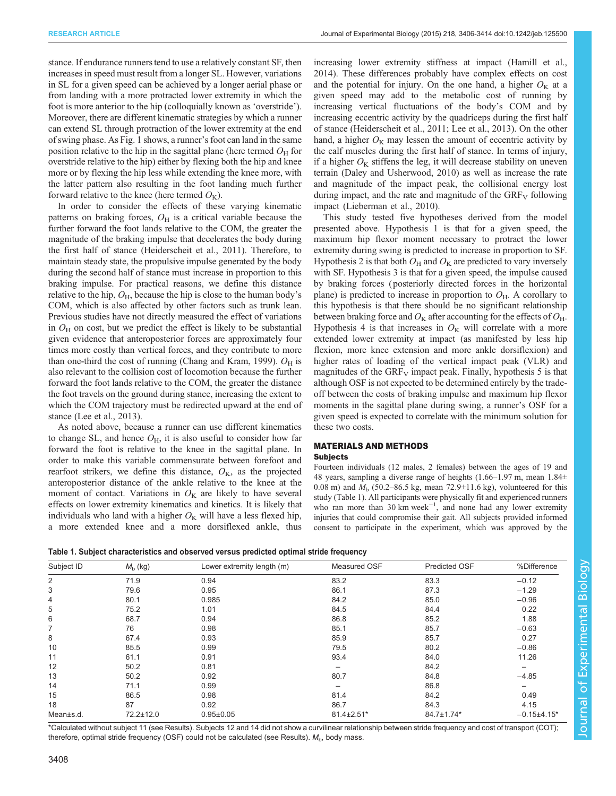<span id="page-3-0"></span>stance. If endurance runners tend to use a relatively constant SF, then increases in speed must result from a longer SL. However, variations in SL for a given speed can be achieved by a longer aerial phase or from landing with a more protracted lower extremity in which the foot is more anterior to the hip (colloquially known as 'overstride'). Moreover, there are different kinematic strategies by which a runner can extend SL through protraction of the lower extremity at the end of swing phase. As [Fig. 1](#page-2-0) shows, a runner's foot can land in the same position relative to the hip in the sagittal plane (here termed  $O<sub>H</sub>$  for overstride relative to the hip) either by flexing both the hip and knee more or by flexing the hip less while extending the knee more, with the latter pattern also resulting in the foot landing much further forward relative to the knee (here termed  $O_K$ ).

In order to consider the effects of these varying kinematic patterns on braking forces,  $O<sub>H</sub>$  is a critical variable because the further forward the foot lands relative to the COM, the greater the magnitude of the braking impulse that decelerates the body during the first half of stance [\(Heiderscheit et al., 2011](#page-9-0)). Therefore, to maintain steady state, the propulsive impulse generated by the body during the second half of stance must increase in proportion to this braking impulse. For practical reasons, we define this distance relative to the hip,  $O_{H}$ , because the hip is close to the human body's COM, which is also affected by other factors such as trunk lean. Previous studies have not directly measured the effect of variations in  $O_{\rm H}$  on cost, but we predict the effect is likely to be substantial given evidence that anteroposterior forces are approximately four times more costly than vertical forces, and they contribute to more than one-third the cost of running ([Chang and Kram, 1999\)](#page-9-0).  $O_H$  is also relevant to the collision cost of locomotion because the further forward the foot lands relative to the COM, the greater the distance the foot travels on the ground during stance, increasing the extent to which the COM trajectory must be redirected upward at the end of stance ([Lee et al., 2013](#page-9-0)).

As noted above, because a runner can use different kinematics to change SL, and hence  $O<sub>H</sub>$ , it is also useful to consider how far forward the foot is relative to the knee in the sagittal plane. In order to make this variable commensurate between forefoot and rearfoot strikers, we define this distance,  $O_K$ , as the projected anteroposterior distance of the ankle relative to the knee at the moment of contact. Variations in  $O<sub>K</sub>$  are likely to have several effects on lower extremity kinematics and kinetics. It is likely that individuals who land with a higher  $O<sub>K</sub>$  will have a less flexed hip, a more extended knee and a more dorsiflexed ankle, thus increasing lower extremity stiffness at impact [\(Hamill et al.,](#page-9-0) [2014\)](#page-9-0). These differences probably have complex effects on cost and the potential for injury. On the one hand, a higher  $O<sub>K</sub>$  at a given speed may add to the metabolic cost of running by increasing vertical fluctuations of the body's COM and by increasing eccentric activity by the quadriceps during the first half of stance [\(Heiderscheit et al., 2011; Lee et al., 2013](#page-9-0)). On the other hand, a higher  $O_K$  may lessen the amount of eccentric activity by the calf muscles during the first half of stance. In terms of injury, if a higher  $O_K$  stiffens the leg, it will decrease stability on uneven terrain ([Daley and Usherwood, 2010](#page-9-0)) as well as increase the rate and magnitude of the impact peak, the collisional energy lost during impact, and the rate and magnitude of the  $GRF_V$  following impact [\(Lieberman et al., 2010](#page-9-0)).

This study tested five hypotheses derived from the model presented above. Hypothesis 1 is that for a given speed, the maximum hip flexor moment necessary to protract the lower extremity during swing is predicted to increase in proportion to SF. Hypothesis 2 is that both  $O_H$  and  $O_K$  are predicted to vary inversely with SF. Hypothesis 3 is that for a given speed, the impulse caused by braking forces ( posteriorly directed forces in the horizontal plane) is predicted to increase in proportion to  $O_{H}$ . A corollary to this hypothesis is that there should be no significant relationship between braking force and  $O_{K}$  after accounting for the effects of  $O_{H}$ . Hypothesis 4 is that increases in  $O_K$  will correlate with a more extended lower extremity at impact (as manifested by less hip flexion, more knee extension and more ankle dorsiflexion) and higher rates of loading of the vertical impact peak (VLR) and magnitudes of the  $GRF_V$  impact peak. Finally, hypothesis 5 is that although OSF is not expected to be determined entirely by the tradeoff between the costs of braking impulse and maximum hip flexor moments in the sagittal plane during swing, a runner's OSF for a given speed is expected to correlate with the minimum solution for these two costs.

## MATERIALS AND METHODS **Subjects**

Fourteen individuals (12 males, 2 females) between the ages of 19 and 48 years, sampling a diverse range of heights  $(1.66-1.97 \text{ m}, \text{mean } 1.84 \pm \text{m})$ 0.08 m) and  $M<sub>b</sub>$  (50.2–86.5 kg, mean 72.9 $\pm$ 11.6 kg), volunteered for this study (Table 1). All participants were physically fit and experienced runners who ran more than 30 km week−<sup>1</sup> , and none had any lower extremity injuries that could compromise their gait. All subjects provided informed consent to participate in the experiment, which was approved by the

|  |  | Table 1. Subject characteristics and observed versus predicted optimal stride frequency |  |  |  |  |  |  |
|--|--|-----------------------------------------------------------------------------------------|--|--|--|--|--|--|
|--|--|-----------------------------------------------------------------------------------------|--|--|--|--|--|--|

| Subject ID     | $M_{\rm b}$ (kg) | Lower extremity length (m) | Measured OSF | <b>Predicted OSF</b> | %Difference   |
|----------------|------------------|----------------------------|--------------|----------------------|---------------|
| 2              | 71.9             | 0.94                       | 83.2         | 83.3                 | $-0.12$       |
| 3              | 79.6             | 0.95                       | 86.1         | 87.3                 | $-1.29$       |
| $\overline{4}$ | 80.1             | 0.985                      | 84.2         | 85.0                 | $-0.96$       |
| 5              | 75.2             | 1.01                       | 84.5         | 84.4                 | 0.22          |
| 6              | 68.7             | 0.94                       | 86.8         | 85.2                 | 1.88          |
| 7              | 76               | 0.98                       | 85.1         | 85.7                 | $-0.63$       |
| 8              | 67.4             | 0.93                       | 85.9         | 85.7                 | 0.27          |
| 10             | 85.5             | 0.99                       | 79.5         | 80.2                 | $-0.86$       |
| 11             | 61.1             | 0.91                       | 93.4         | 84.0                 | 11.26         |
| 12             | 50.2             | 0.81                       |              | 84.2                 |               |
| 13             | 50.2             | 0.92                       | 80.7         | 84.8                 | $-4.85$       |
| 14             | 71.1             | 0.99                       |              | 86.8                 |               |
| 15             | 86.5             | 0.98                       | 81.4         | 84.2                 | 0.49          |
| 18             | 87               | 0.92                       | 86.7         | 84.3                 | 4.15          |
| Mean±s.d.      | 72.2±12.0        | $0.95 + 0.05$              | 81.4±2.51*   | 84.7±1.74*           | $-0.15+4.15*$ |

\*Calculated without subject 11 (see Results). Subjects 12 and 14 did not show a curvilinear relationship between stride frequency and cost of transport (COT); therefore, optimal stride frequency (OSF) could not be calculated (see Results).  $M<sub>b</sub>$ , body mass.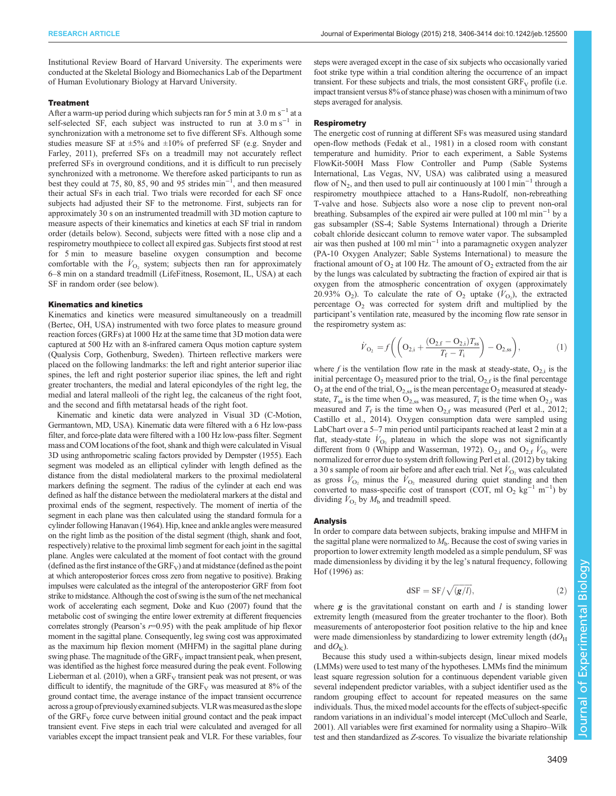Institutional Review Board of Harvard University. The experiments were conducted at the Skeletal Biology and Biomechanics Lab of the Department of Human Evolutionary Biology at Harvard University.

#### **Treatment**

After a warm-up period during which subjects ran for 5 min at 3.0 m s<sup> $-1$ </sup> at a self-selected SF, each subject was instructed to run at  $3.0 \text{ m s}^{-1}$  in synchronization with a metronome set to five different SFs. Although some studies measure SF at  $\pm 5\%$  and  $\pm 10\%$  of preferred SF (e.g. [Snyder and](#page-9-0) [Farley, 2011](#page-9-0)), preferred SFs on a treadmill may not accurately reflect preferred SFs in overground conditions, and it is difficult to run precisely synchronized with a metronome. We therefore asked participants to run as best they could at 75, 80, 85, 90 and 95 strides min−<sup>1</sup> , and then measured their actual SFs in each trial. Two trials were recorded for each SF once subjects had adjusted their SF to the metronome. First, subjects ran for approximately 30 s on an instrumented treadmill with 3D motion capture to measure aspects of their kinematics and kinetics at each SF trial in random order (details below). Second, subjects were fitted with a nose clip and a respirometry mouthpiece to collect all expired gas. Subjects first stood at rest for 5 min to measure baseline oxygen consumption and become comfortable with the  $\dot{V}_{\text{O}_2}$  system; subjects then ran for approximately 6–8 min on a standard treadmill (LifeFitness, Rosemont, IL, USA) at each SF in random order (see below).

#### Kinematics and kinetics

Kinematics and kinetics were measured simultaneously on a treadmill (Bertec, OH, USA) instrumented with two force plates to measure ground reaction forces (GRFs) at 1000 Hz at the same time that 3D motion data were captured at 500 Hz with an 8-infrared camera Oqus motion capture system (Qualysis Corp, Gothenburg, Sweden). Thirteen reflective markers were placed on the following landmarks: the left and right anterior superior iliac spines, the left and right posterior superior iliac spines, the left and right greater trochanters, the medial and lateral epicondyles of the right leg, the medial and lateral malleoli of the right leg, the calcaneus of the right foot, and the second and fifth metatarsal heads of the right foot.

Kinematic and kinetic data were analyzed in Visual 3D (C-Motion, Germantown, MD, USA). Kinematic data were filtered with a 6 Hz low-pass filter, and force-plate data were filtered with a 100 Hz low-pass filter. Segment mass and COM locations of the foot, shank and thigh were calculated in Visual 3D using anthropometric scaling factors provided by [Dempster \(1955\)](#page-9-0). Each segment was modeled as an elliptical cylinder with length defined as the distance from the distal mediolateral markers to the proximal mediolateral markers defining the segment. The radius of the cylinder at each end was defined as half the distance between the mediolateral markers at the distal and proximal ends of the segment, respectively. The moment of inertia of the segment in each plane was then calculated using the standard formula for a cylinder following [Hanavan \(1964\)](#page-9-0). Hip, knee and ankle angles were measured on the right limb as the position of the distal segment (thigh, shank and foot, respectively) relative to the proximal limb segment for each joint in the sagittal plane. Angles were calculated at the moment of foot contact with the ground (defined as the first instance of the  $GRF_V$ ) and at midstance (defined as the point at which anteroposterior forces cross zero from negative to positive). Braking impulses were calculated as the integral of the anteroposterior GRF from foot strike to midstance. Although the cost of swing is the sum of the net mechanical work of accelerating each segment, [Doke and Kuo \(2007\)](#page-9-0) found that the metabolic cost of swinging the entire lower extremity at different frequencies correlates strongly (Pearson's  $r=0.95$ ) with the peak amplitude of hip flexor moment in the sagittal plane. Consequently, leg swing cost was approximated as the maximum hip flexion moment (MHFM) in the sagittal plane during swing phase. The magnitude of the  $\rm{GRF_{V}}$  impact transient peak, when present, was identified as the highest force measured during the peak event. Following [Lieberman et al. \(2010\),](#page-9-0) when a  $GRF_V$  transient peak was not present, or was difficult to identify, the magnitude of the  $GRF_V$  was measured at 8% of the ground contact time, the average instance of the impact transient occurrence across a group of previously examined subjects. VLR was measured asthe slope of the  $GRF_V$  force curve between initial ground contact and the peak impact transient event. Five steps in each trial were calculated and averaged for all variables except the impact transient peak and VLR. For these variables, four

steps were averaged except in the case of six subjects who occasionally varied foot strike type within a trial condition altering the occurrence of an impact transient. For these subjects and trials, the most consistent  $GRF_V$  profile (i.e. impact transient versus 8% of stance phase) was chosen with a minimum of two steps averaged for analysis.

#### **Respirometry**

The energetic cost of running at different SFs was measured using standard open-flow methods ([Fedak et al., 1981\)](#page-9-0) in a closed room with constant temperature and humidity. Prior to each experiment, a Sable Systems FlowKit-500H Mass Flow Controller and Pump (Sable Systems International, Las Vegas, NV, USA) was calibrated using a measured flow of N<sub>2</sub>, and then used to pull air continuously at 100 l min<sup>-1</sup> through a respirometry mouthpiece attached to a Hans-Rudolf, non-rebreathing T-valve and hose. Subjects also wore a nose clip to prevent non-oral breathing. Subsamples of the expired air were pulled at 100 ml min−<sup>1</sup> by a gas subsampler (SS-4; Sable Systems International) through a Drierite cobalt chloride desiccant column to remove water vapor. The subsampled air was then pushed at 100 ml min−<sup>1</sup> into a paramagnetic oxygen analyzer (PA-10 Oxygen Analyzer; Sable Systems International) to measure the fractional amount of  $O_2$  at 100 Hz. The amount of  $O_2$  extracted from the air by the lungs was calculated by subtracting the fraction of expired air that is oxygen from the atmospheric concentration of oxygen (approximately 20.93% O<sub>2</sub>). To calculate the rate of O<sub>2</sub> uptake  $(\dot{V}_{\text{O}_2})$ , the extracted percentage  $O_2$  was corrected for system drift and multiplied by the participant's ventilation rate, measured by the incoming flow rate sensor in the respirometry system as:

$$
\dot{V}_{\mathcal{O}_2} = f\bigg( \bigg( \mathcal{O}_{2,i} + \frac{(\mathcal{O}_{2,f} - \mathcal{O}_{2,i})T_{ss}}{T_f - T_i} \bigg) - \mathcal{O}_{2,ss} \bigg), \tag{1}
$$

where f is the ventilation flow rate in the mask at steady-state,  $O_{2,i}$  is the initial percentage  $O_2$  measured prior to the trial,  $O_{2,f}$  is the final percentage  $O_2$  at the end of the trial,  $O_{2,ss}$  is the mean percentage  $O_2$  measured at steadystate,  $T_{ss}$  is the time when  $O_{2,ss}$  was measured,  $T_i$  is the time when  $O_{2,i}$  was measured and  $T_f$  is the time when  $O_{2,f}$  was measured [\(Perl et al., 2012;](#page-9-0) [Castillo et al., 2014](#page-9-0)). Oxygen consumption data were sampled using LabChart over a 5–7 min period until participants reached at least 2 min at a flat, steady-state  $V_{\text{O}_2}$  plateau in which the slope was not significantly different from 0 ([Whipp and Wasserman, 1972\)](#page-9-0). O<sub>2,i</sub> and O<sub>2,f</sub>  $\dot{V}_{\text{O}_2}$  were normalized for error due to system drift following [Perl et al. \(2012\)](#page-9-0) by taking a 30 s sample of room air before and after each trial. Net  $\dot{V}_{\text{O}_2}$  was calculated as gross  $\dot{V}_{\text{O}_2}$  minus the  $\dot{V}_{\text{O}_2}$  measured during quiet standing and then converted to mass-specific cost of transport (COT, ml O<sub>2</sub> kg<sup>-1</sup> m<sup>-1</sup>) by dividing  $\dot{V}_{\text{O}_2}$  by  $M_{\text{b}}$  and treadmill speed.

#### Analysis

In order to compare data between subjects, braking impulse and MHFM in the sagittal plane were normalized to  $M<sub>b</sub>$ . Because the cost of swing varies in proportion to lower extremity length modeled as a simple pendulum, SF was made dimensionless by dividing it by the leg's natural frequency, following [Hof \(1996\)](#page-9-0) as:

$$
dSF = SF / \sqrt{(g/l)},
$$
\n(2)

where  $g$  is the gravitational constant on earth and  $l$  is standing lower extremity length (measured from the greater trochanter to the floor). Both measurements of anteroposterior foot position relative to the hip and knee were made dimensionless by standardizing to lower extremity length  $(dO<sub>H</sub>)$ and  $dO<sub>K</sub>$ ).

Because this study used a within-subjects design, linear mixed models (LMMs) were used to test many of the hypotheses. LMMs find the minimum least square regression solution for a continuous dependent variable given several independent predictor variables, with a subject identifier used as the random grouping effect to account for repeated measures on the same individuals. Thus, the mixed model accounts for the effects of subject-specific random variations in an individual's model intercept [\(McCulloch and Searle,](#page-9-0) [2001\)](#page-9-0). All variables were first examined for normality using a Shapiro–Wilk test and then standardized as Z-scores. To visualize the bivariate relationship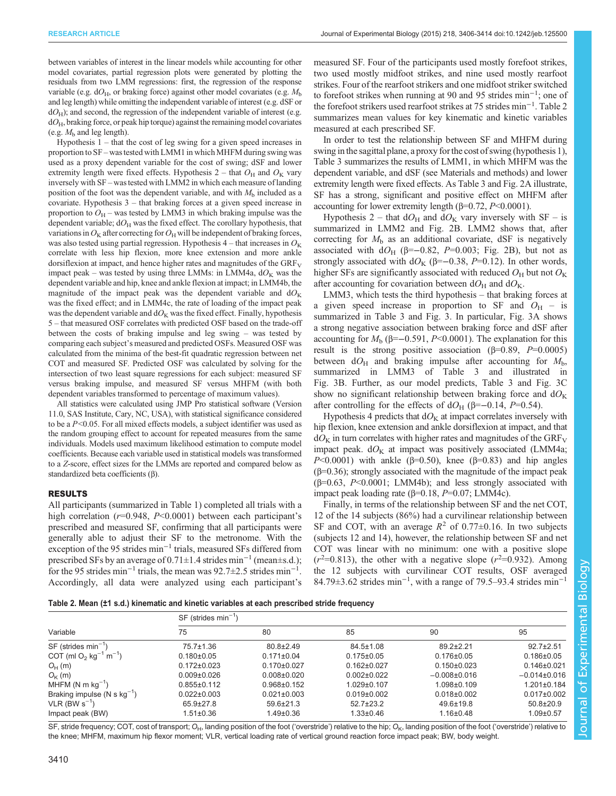between variables of interest in the linear models while accounting for other model covariates, partial regression plots were generated by plotting the residuals from two LMM regressions: first, the regression of the response variable (e.g.  $dO<sub>H</sub>$ , or braking force) against other model covariates (e.g.  $M<sub>b</sub>$ and leg length) while omitting the independent variable of interest (e.g. dSF or  $dO<sub>H</sub>$ ); and second, the regression of the independent variable of interest (e.g.  $dO<sub>H</sub>$ , braking force, or peak hip torque) against the remaining model covariates (e.g.  $M<sub>b</sub>$  and leg length).

Hypothesis 1 – that the cost of leg swing for a given speed increases in proportion to SF – wastested with LMM1 in which MHFM during swing was used as a proxy dependent variable for the cost of swing; dSF and lower extremity length were fixed effects. Hypothesis 2 – that  $O_H$  and  $O_K$  vary inversely with SF – was tested with LMM2 in which each measure of landing position of the foot was the dependent variable, and with  $M<sub>b</sub>$  included as a covariate. Hypothesis 3 – that braking forces at a given speed increase in proportion to  $O_H$  – was tested by LMM3 in which braking impulse was the dependent variable;  $dO<sub>H</sub>$  was the fixed effect. The corollary hypothesis, that variations in  $O_{\rm K}$  after correcting for  $O_{\rm H}$  will be independent of braking forces, was also tested using partial regression. Hypothesis  $4$  – that increases in  $O<sub>K</sub>$ correlate with less hip flexion, more knee extension and more ankle dorsiflexion at impact, and hence higher rates and magnitudes of the  $GRF_V$ impact peak – was tested by using three LMMs: in LMM4a,  $dO<sub>K</sub>$  was the dependent variable and hip, knee and ankle flexion at impact; in LMM4b, the magnitude of the impact peak was the dependent variable and  $dO<sub>K</sub>$ was the fixed effect; and in LMM4c, the rate of loading of the impact peak was the dependent variable and  $dO<sub>K</sub>$  was the fixed effect. Finally, hypothesis 5 – that measured OSF correlates with predicted OSF based on the trade-off between the costs of braking impulse and leg swing – was tested by comparing each subject's measured and predicted OSFs. Measured OSF was calculated from the minima of the best-fit quadratic regression between net COT and measured SF. Predicted OSF was calculated by solving for the intersection of two least square regressions for each subject: measured SF versus braking impulse, and measured SF versus MHFM (with both dependent variables transformed to percentage of maximum values).

All statistics were calculated using JMP Pro statistical software (Version 11.0, SAS Institute, Cary, NC, USA), with statistical significance considered to be a  $P<0.05$ . For all mixed effects models, a subject identifier was used as the random grouping effect to account for repeated measures from the same individuals. Models used maximum likelihood estimation to compute model coefficients. Because each variable used in statistical models was transformed to a Z-score, effect sizes for the LMMs are reported and compared below as standardized beta coefficients (β).

#### RESULTS

All participants (summarized in [Table 1\)](#page-3-0) completed all trials with a high correlation  $(r=0.948, P<0.0001)$  between each participant's prescribed and measured SF, confirming that all participants were generally able to adjust their SF to the metronome. With the exception of the 95 strides min−<sup>1</sup> trials, measured SFs differed from prescribed SFs by an average of 0.71±1.4 strides min−<sup>1</sup> (mean±s.d.); for the 95 strides min<sup>-1</sup> trials, the mean was  $92.7 \pm 2.5$  strides min<sup>-1</sup>. Accordingly, all data were analyzed using each participant's measured SF. Four of the participants used mostly forefoot strikes, two used mostly midfoot strikes, and nine used mostly rearfoot strikes. Four of the rearfoot strikers and one midfoot striker switched to forefoot strikes when running at 90 and 95 strides min−<sup>1</sup> ; one of the forefoot strikers used rearfoot strikes at 75 strides min−<sup>1</sup> . Table 2 summarizes mean values for key kinematic and kinetic variables measured at each prescribed SF.

In order to test the relationship between SF and MHFM during swing in the sagittal plane, a proxy for the cost of swing (hypothesis 1), [Table 3](#page-6-0) summarizes the results of LMM1, in which MHFM was the dependent variable, and dSF (see Materials and methods) and lower extremity length were fixed effects. As [Table 3](#page-6-0) and [Fig. 2A](#page-6-0) illustrate, SF has a strong, significant and positive effect on MHFM after accounting for lower extremity length ( $β=0.72, P<0.0001$ ).

Hypothesis 2 – that  $dO_H$  and  $dO_K$  vary inversely with SF – is summarized in LMM2 and [Fig. 2](#page-6-0)B. LMM2 shows that, after correcting for  $M<sub>b</sub>$  as an additional covariate, dSF is negatively associated with dO<sub>H</sub> (β=-0.82, P=0.003; [Fig. 2B](#page-6-0)), but not as strongly associated with dO<sub>K</sub> (β=–0.38, P=0.12). In other words, higher SFs are significantly associated with reduced  $O_H$  but not  $O_K$ after accounting for covariation between  $dO_H$  and  $dO_K$ .

LMM3, which tests the third hypothesis – that braking forces at a given speed increase in proportion to SF and  $O<sub>H</sub>$  – is summarized in [Table 3](#page-6-0) and [Fig. 3.](#page-7-0) In particular, [Fig. 3A](#page-7-0) shows a strong negative association between braking force and dSF after accounting for  $M<sub>b</sub>$  (β=–0.591, P<0.0001). The explanation for this result is the strong positive association ( $\beta$ =0.89,  $P$ =0.0005) between  $dO_H$  and braking impulse after accounting for  $M_b$ , summarized in LMM3 of [Table 3](#page-6-0) and illustrated in [Fig. 3](#page-7-0)B. Further, as our model predicts, [Table 3](#page-6-0) and [Fig. 3C](#page-7-0) show no significant relationship between braking force and  $dO<sub>K</sub>$ after controlling for the effects of  $dO_H$  (β=–0.14, P=0.54).

Hypothesis 4 predicts that  $dO<sub>K</sub>$  at impact correlates inversely with hip flexion, knee extension and ankle dorsiflexion at impact, and that  $dO<sub>K</sub>$  in turn correlates with higher rates and magnitudes of the GRF<sub>V</sub> impact peak.  $dO<sub>K</sub>$  at impact was positively associated (LMM4a; P<0.0001) with ankle (β=0.50), knee (β=0.83) and hip angles  $(β=0.36)$ ; strongly associated with the magnitude of the impact peak  $(\beta=0.63, P<0.0001; LMM4b)$ ; and less strongly associated with impact peak loading rate  $(\beta=0.18, P=0.07; LMM4c)$ .

Finally, in terms of the relationship between SF and the net COT, 12 of the 14 subjects (86%) had a curvilinear relationship between SF and COT, with an average  $R^2$  of 0.77 $\pm$ 0.16. In two subjects (subjects 12 and 14), however, the relationship between SF and net COT was linear with no minimum: one with a positive slope  $(r^2=0.813)$ , the other with a negative slope  $(r^2=0.932)$ . Among the 12 subjects with curvilinear COT results, OSF averaged 84.79±3.62 strides min<sup>-1</sup>, with a range of 79.5–93.4 strides min<sup>-1</sup>

|  |  |  | Table 2. Mean (±1 s.d.) kinematic and kinetic variables at each prescribed stride frequency |  |
|--|--|--|---------------------------------------------------------------------------------------------|--|
|--|--|--|---------------------------------------------------------------------------------------------|--|

|                                                           | $SF$ (strides min <sup>-1</sup> ) |                   |                   |                    |                   |
|-----------------------------------------------------------|-----------------------------------|-------------------|-------------------|--------------------|-------------------|
| Variable                                                  | 75                                | 80                | 85                | 90                 | 95                |
| $SF$ (strides min <sup>-1</sup> )                         | $75.7 \pm 1.36$                   | $80.8 \pm 2.49$   | $84.5 \pm 1.08$   | $89.2 \pm 2.21$    | $92.7 + 2.51$     |
| COT (ml O <sub>2</sub> kg <sup>-1</sup> m <sup>-1</sup> ) | $0.180 \pm 0.05$                  | $0.171 \pm 0.04$  | $0.175 \pm 0.05$  | $0.176 \pm 0.05$   | $0.186 \pm 0.05$  |
| $O_H$ (m)                                                 | $0.172 \pm 0.023$                 | $0.170 \pm 0.027$ | $0.162 \pm 0.027$ | $0.150 \pm 0.023$  | $0.146 \pm 0.021$ |
| $O_{K}$ (m)                                               | $0.009 + 0.026$                   | $0.008 \pm 0.020$ | $0.002 \pm 0.022$ | $-0.008 \pm 0.016$ | $-0.014\pm0.016$  |
| MHFM (N m $kg^{-1}$ )                                     | $0.855 \pm 0.112$                 | $0.968 \pm 0.152$ | $1.029 \pm 0.107$ | $1.098 \pm 0.109$  | $1.201 \pm 0.184$ |
| Braking impulse (N s $kg^{-1}$ )                          | $0.022 \pm 0.003$                 | $0.021 \pm 0.003$ | $0.019 + 0.002$   | $0.018 \pm 0.002$  | $0.017 \pm 0.002$ |
| VLR (BW $s^{-1}$ )                                        | $65.9 \pm 27.8$                   | $59.6 \pm 21.3$   | $52.7 \pm 23.2$   | $49.6 \pm 19.8$    | $50.8 \pm 20.9$   |
| Impact peak (BW)                                          | $1.51 \pm 0.36$                   | $1.49 \pm 0.36$   | $1.33 \pm 0.46$   | $1.16 \pm 0.48$    | $1.09 \pm 0.57$   |

SF, stride frequency; COT, cost of transport; O<sub>H</sub>, landing position of the foot ('overstride') relative to the hip; O<sub>K</sub>, landing position of the foot ('overstride') relative to the knee; MHFM, maximum hip flexor moment; VLR, vertical loading rate of vertical ground reaction force impact peak; BW, body weight.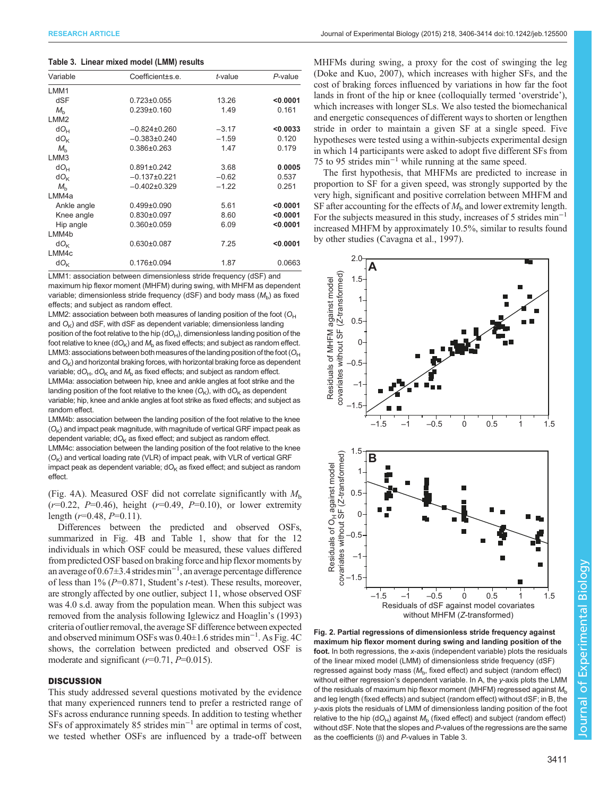#### <span id="page-6-0"></span>Table 3. Linear mixed model (LMM) results

| Variable          | Coefficient±s.e.  | $t$ -value | P-value  |
|-------------------|-------------------|------------|----------|
| LMM1              |                   |            |          |
| dSF               | $0.723 \pm 0.055$ | 13.26      | < 0.0001 |
| $M_h$             | $0.239 \pm 0.160$ | 1.49       | 0.161    |
| LMM <sub>2</sub>  |                   |            |          |
| $dO_{H}$          | $-0.824\pm0.260$  | $-3.17$    | < 0.0033 |
| $dO_{K}$          | $-0.383\pm0.240$  | $-1.59$    | 0.120    |
| $M_h$             | $0.386 \pm 0.263$ | 1.47       | 0.179    |
| LMM3              |                   |            |          |
| $dO_{H}$          | $0.891 \pm 0.242$ | 3.68       | 0.0005   |
| $dO_{k}$          | $-0.137+0.221$    | $-0.62$    | 0.537    |
| $M_h$             | $-0.402\pm0.329$  | $-1.22$    | 0.251    |
| LMM4a             |                   |            |          |
| Ankle angle       | $0.499 \pm 0.090$ | 5.61       | < 0.0001 |
| Knee angle        | $0.830 \pm 0.097$ | 8.60       | < 0.0001 |
| Hip angle         | $0.360 \pm 0.059$ | 6.09       | < 0.0001 |
| LMM4b             |                   |            |          |
| $dO_{\mathsf{k}}$ | $0.630 \pm 0.087$ | 7.25       | < 0.0001 |
| LMM4c             |                   |            |          |
| dO <sub>k</sub>   | $0.176 \pm 0.094$ | 1.87       | 0.0663   |
|                   |                   |            |          |

LMM1: association between dimensionless stride frequency (dSF) and maximum hip flexor moment (MHFM) during swing, with MHFM as dependent variable; dimensionless stride frequency (dSF) and body mass  $(M_h)$  as fixed effects; and subject as random effect.

LMM2: association between both measures of landing position of the foot  $(O_H)$ and  $O<sub>K</sub>$ ) and dSF, with dSF as dependent variable; dimensionless landing position of the foot relative to the hip  $(dO_H)$ , dimensionless landing position of the foot relative to knee ( $dO_K$ ) and  $M_b$  as fixed effects; and subject as random effect. LMM3: associations between both measures of the landing position of the foot  $(O_H)$ and  $O<sub>K</sub>$ ) and horizontal braking forces, with horizontal braking force as dependent variable;  $dO_H$ ,  $dO_K$  and  $M_b$  as fixed effects; and subject as random effect. LMM4a: association between hip, knee and ankle angles at foot strike and the landing position of the foot relative to the knee  $(O_K)$ , with d $O_K$  as dependent variable; hip, knee and ankle angles at foot strike as fixed effects; and subject as random effect.

LMM4b: association between the landing position of the foot relative to the knee  $(O<sub>K</sub>)$  and impact peak magnitude, with magnitude of vertical GRF impact peak as dependent variable;  $dO<sub>K</sub>$  as fixed effect; and subject as random effect.

LMM4c: association between the landing position of the foot relative to the knee  $(O_K)$  and vertical loading rate (VLR) of impact peak, with VLR of vertical GRF impact peak as dependent variable;  $dO<sub>K</sub>$  as fixed effect; and subject as random effect.

[\(Fig. 4](#page-7-0)A). Measured OSF did not correlate significantly with  $M<sub>b</sub>$  $(r=0.22, P=0.46)$ , height  $(r=0.49, P=0.10)$ , or lower extremity length  $(r=0.48, P=0.11)$ .

Differences between the predicted and observed OSFs, summarized in [Fig. 4](#page-7-0)B and [Table 1](#page-3-0), show that for the 12 individuals in which OSF could be measured, these values differed from predicted OSF based on braking force and hip flexor moments by an average of 0.67±3.4 strides min−<sup>1</sup> , an average percentage difference of less than  $1\%$  ( $P=0.871$ , Student's t-test). These results, moreover, are strongly affected by one outlier, subject 11, whose observed OSF was 4.0 s.d. away from the population mean. When this subject was removed from the analysis following [Iglewicz and Hoaglin](#page-9-0)'s (1993) criteria of outlier removal, the average SF difference between expected and observed minimum OSFs was 0.40±1.6 strides min−<sup>1</sup> . As [Fig. 4C](#page-7-0) shows, the correlation between predicted and observed OSF is moderate and significant  $(r=0.71, P=0.015)$ .

#### **DISCUSSION**

This study addressed several questions motivated by the evidence that many experienced runners tend to prefer a restricted range of SFs across endurance running speeds. In addition to testing whether SFs of approximately 85 strides min−<sup>1</sup> are optimal in terms of cost, we tested whether OSFs are influenced by a trade-off between

MHFMs during swing, a proxy for the cost of swinging the leg [\(Doke and Kuo, 2007](#page-9-0)), which increases with higher SFs, and the cost of braking forces influenced by variations in how far the foot lands in front of the hip or knee (colloquially termed 'overstride'), which increases with longer SLs. We also tested the biomechanical and energetic consequences of different ways to shorten or lengthen stride in order to maintain a given SF at a single speed. Five hypotheses were tested using a within-subjects experimental design in which 14 participants were asked to adopt five different SFs from 75 to 95 strides min−<sup>1</sup> while running at the same speed.

The first hypothesis, that MHFMs are predicted to increase in proportion to SF for a given speed, was strongly supported by the very high, significant and positive correlation between MHFM and SF after accounting for the effects of  $M<sub>b</sub>$  and lower extremity length. For the subjects measured in this study, increases of 5 strides min−<sup>1</sup> increased MHFM by approximately 10.5%, similar to results found by other studies ([Cavagna et al., 1997\)](#page-9-0).



Fig. 2. Partial regressions of dimensionless stride frequency against maximum hip flexor moment during swing and landing position of the foot. In both regressions, the x-axis (independent variable) plots the residuals of the linear mixed model (LMM) of dimensionless stride frequency (dSF) regressed against body mass  $(M_b, \text{fixed effect})$  and subject (random effect) without either regression's dependent variable. In A, the y-axis plots the LMM of the residuals of maximum hip flexor moment (MHFM) regressed against  $M<sub>b</sub>$ and leg length (fixed effects) and subject (random effect) without dSF; in B, the y-axis plots the residuals of LMM of dimensionless landing position of the foot relative to the hip ( $dO_H$ ) against  $M_b$  (fixed effect) and subject (random effect) without dSF. Note that the slopes and  $P$ -values of the regressions are the same as the coefficients  $(β)$  and P-values in Table 3.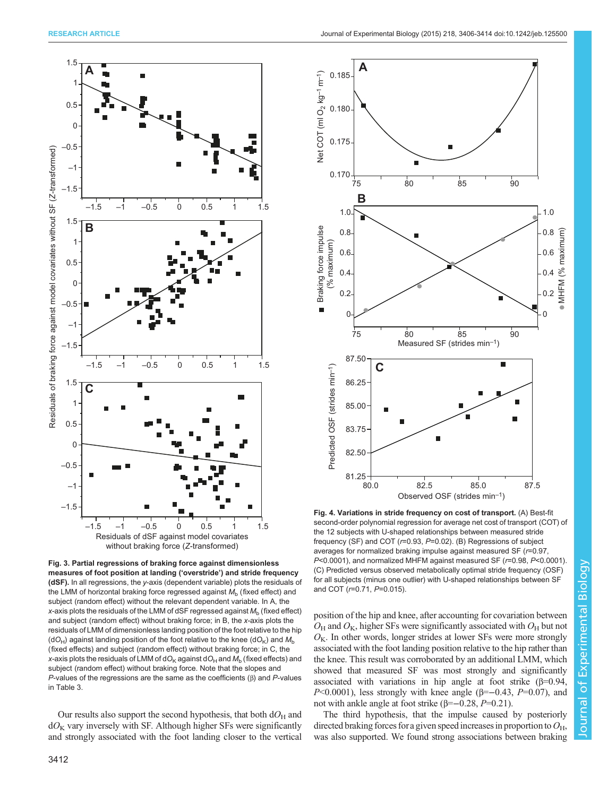<span id="page-7-0"></span>

Fig. 3. Partial regressions of braking force against dimensionless measures of foot position at landing ('overstride') and stride frequency (dSF). In all regressions, the y-axis (dependent variable) plots the residuals of the LMM of horizontal braking force regressed against  $M<sub>b</sub>$  (fixed effect) and subject (random effect) without the relevant dependent variable. In A, the x-axis plots the residuals of the LMM of dSF regressed against  $M<sub>b</sub>$  (fixed effect) and subject (random effect) without braking force; in B, the x-axis plots the residuals of LMM of dimensionless landing position of the foot relative to the hip  $(dO_H)$  against landing position of the foot relative to the knee (dO<sub>K</sub>) and  $M_h$ (fixed effects) and subject (random effect) without braking force; in C, the x-axis plots the residuals of LMM of dO<sub>K</sub> against dO<sub>H</sub> and  $M<sub>b</sub>$  (fixed effects) and subject (random effect) without braking force. Note that the slopes and P-values of the regressions are the same as the coefficients  $(\beta)$  and P-values in [Table 3.](#page-6-0)

Our results also support the second hypothesis, that both  $dO_H$  and  $dO<sub>K</sub>$  vary inversely with SF. Although higher SFs were significantly and strongly associated with the foot landing closer to the vertical



Fig. 4. Variations in stride frequency on cost of transport. (A) Best-fit second-order polynomial regression for average net cost of transport (COT) of the 12 subjects with U-shaped relationships between measured stride frequency (SF) and COT ( $r=0.93$ ,  $P=0.02$ ). (B) Regressions of subject averages for normalized braking impulse against measured SF (r=0.97, P<0.0001), and normalized MHFM against measured SF (r=0.98, P<0.0001). (C) Predicted versus observed metabolically optimal stride frequency (OSF) for all subjects (minus one outlier) with U-shaped relationships between SF and COT (r=0.71, P=0.015).

position of the hip and knee, after accounting for covariation between  $O_H$  and  $O_K$ , higher SFs were significantly associated with  $O_H$  but not  $O<sub>K</sub>$ . In other words, longer strides at lower SFs were more strongly associated with the foot landing position relative to the hip rather than the knee. This result was corroborated by an additional LMM, which showed that measured SF was most strongly and significantly associated with variations in hip angle at foot strike  $(\beta=0.94,$ P<0.0001), less strongly with knee angle ( $\beta$ =−0.43, P=0.07), and not with ankle angle at foot strike (β= $-0.28$ , P=0.21).

The third hypothesis, that the impulse caused by posteriorly directed braking forces for a given speed increases in proportion to  $O_{\rm H}$ , was also supported. We found strong associations between braking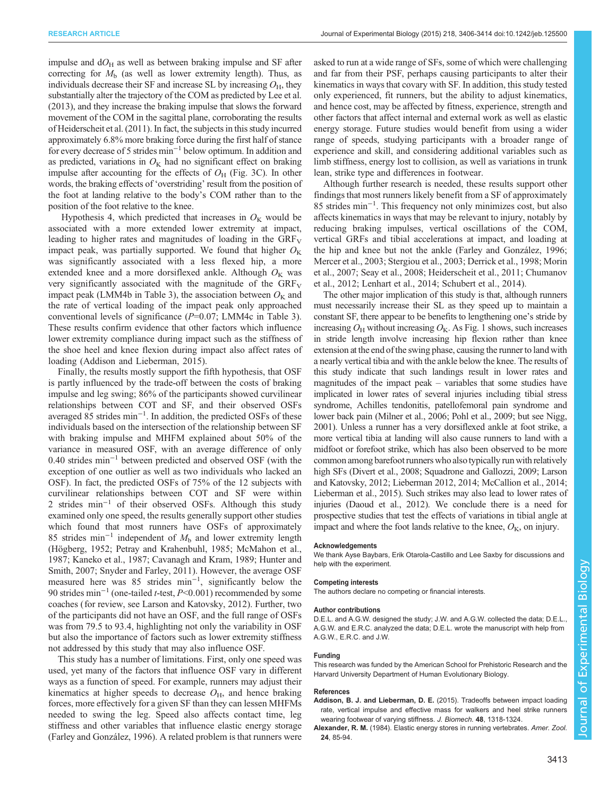<span id="page-8-0"></span>impulse and  $dO<sub>H</sub>$  as well as between braking impulse and SF after correcting for  $M<sub>b</sub>$  (as well as lower extremity length). Thus, as individuals decrease their SF and increase SL by increasing  $O_{H}$ , they substantially alter the trajectory of the COM as predicted by [Lee et al.](#page-9-0) [\(2013\),](#page-9-0) and they increase the braking impulse that slows the forward movement of the COM in the sagittal plane, corroborating the results of [Heiderscheit et al. \(2011\)](#page-9-0). In fact, the subjects in this study incurred approximately 6.8% more braking force during the first half of stance for every decrease of 5 strides min−<sup>1</sup> below optimum. In addition and as predicted, variations in  $O<sub>K</sub>$  had no significant effect on braking impulse after accounting for the effects of  $O_H$  ([Fig. 3](#page-7-0)C). In other words, the braking effects of 'overstriding' result from the position of the foot at landing relative to the body's COM rather than to the position of the foot relative to the knee.

Hypothesis 4, which predicted that increases in  $O<sub>K</sub>$  would be associated with a more extended lower extremity at impact, leading to higher rates and magnitudes of loading in the  $GRF_V$ impact peak, was partially supported. We found that higher  $O<sub>K</sub>$ was significantly associated with a less flexed hip, a more extended knee and a more dorsiflexed ankle. Although  $O_K$  was very significantly associated with the magnitude of the  $GRF_V$ impact peak (LMM4b in [Table 3](#page-6-0)), the association between  $O<sub>K</sub>$  and the rate of vertical loading of the impact peak only approached conventional levels of significance  $(P=0.07; LMM4c$  in [Table 3\)](#page-6-0). These results confirm evidence that other factors which influence lower extremity compliance during impact such as the stiffness of the shoe heel and knee flexion during impact also affect rates of loading (Addison and Lieberman, 2015).

Finally, the results mostly support the fifth hypothesis, that OSF is partly influenced by the trade-off between the costs of braking impulse and leg swing; 86% of the participants showed curvilinear relationships between COT and SF, and their observed OSFs averaged 85 strides min−<sup>1</sup> . In addition, the predicted OSFs of these individuals based on the intersection of the relationship between SF with braking impulse and MHFM explained about 50% of the variance in measured OSF, with an average difference of only 0.40 strides min−<sup>1</sup> between predicted and observed OSF (with the exception of one outlier as well as two individuals who lacked an OSF). In fact, the predicted OSFs of 75% of the 12 subjects with curvilinear relationships between COT and SF were within 2 strides min<sup>-1</sup> of their observed OSFs. Although this study examined only one speed, the results generally support other studies which found that most runners have OSFs of approximately 85 strides min<sup>-1</sup> independent of  $M<sub>b</sub>$  and lower extremity length [\(Högberg, 1952](#page-9-0); [Petray and Krahenbuhl, 1985; McMahon et al.,](#page-9-0) [1987](#page-9-0); [Kaneko et al., 1987](#page-9-0); [Cavanagh and Kram, 1989; Hunter and](#page-9-0) [Smith, 2007](#page-9-0); [Snyder and Farley, 2011](#page-9-0)). However, the average OSF measured here was 85 strides min−<sup>1</sup> , significantly below the 90 strides min<sup>-1</sup> (one-tailed *t*-test, *P*<0.001) recommended by some coaches (for review, see [Larson and Katovsky, 2012\)](#page-9-0). Further, two of the participants did not have an OSF, and the full range of OSFs was from 79.5 to 93.4, highlighting not only the variability in OSF but also the importance of factors such as lower extremity stiffness not addressed by this study that may also influence OSF.

This study has a number of limitations. First, only one speed was used, yet many of the factors that influence OSF vary in different ways as a function of speed. For example, runners may adjust their kinematics at higher speeds to decrease  $O<sub>H</sub>$ , and hence braking forces, more effectively for a given SF than they can lessen MHFMs needed to swing the leg. Speed also affects contact time, leg stiffness and other variables that influence elastic energy storage [\(Farley and González, 1996](#page-9-0)). A related problem is that runners were asked to run at a wide range of SFs, some of which were challenging and far from their PSF, perhaps causing participants to alter their kinematics in ways that covary with SF. In addition, this study tested only experienced, fit runners, but the ability to adjust kinematics, and hence cost, may be affected by fitness, experience, strength and other factors that affect internal and external work as well as elastic energy storage. Future studies would benefit from using a wider range of speeds, studying participants with a broader range of experience and skill, and considering additional variables such as limb stiffness, energy lost to collision, as well as variations in trunk lean, strike type and differences in footwear.

Although further research is needed, these results support other findings that most runners likely benefit from a SF of approximately 85 strides min−<sup>1</sup> . This frequency not only minimizes cost, but also affects kinematics in ways that may be relevant to injury, notably by reducing braking impulses, vertical oscillations of the COM, vertical GRFs and tibial accelerations at impact, and loading at the hip and knee but not the ankle [\(Farley and González, 1996](#page-9-0); [Mercer et al., 2003](#page-9-0); [Stergiou et al., 2003](#page-9-0); [Derrick et al., 1998; Morin](#page-9-0) [et al., 2007; Seay et al., 2008](#page-9-0); [Heiderscheit et al., 2011; Chumanov](#page-9-0) [et al., 2012; Lenhart et al., 2014](#page-9-0); [Schubert et al., 2014](#page-9-0)).

The other major implication of this study is that, although runners must necessarily increase their SL as they speed up to maintain a constant SF, there appear to be benefits to lengthening one's stride by increasing  $O_H$  without increasing  $O_K$ . As [Fig. 1](#page-2-0) shows, such increases in stride length involve increasing hip flexion rather than knee extension at the end of the swing phase, causing the runner to land with a nearly vertical tibia and with the ankle below the knee. The results of this study indicate that such landings result in lower rates and magnitudes of the impact peak – variables that some studies have implicated in lower rates of several injuries including tibial stress syndrome, Achilles tendonitis, patellofemoral pain syndrome and lower back pain [\(Milner et al., 2006](#page-9-0); [Pohl et al., 2009;](#page-9-0) but see [Nigg,](#page-9-0) [2001](#page-9-0)). Unless a runner has a very dorsiflexed ankle at foot strike, a more vertical tibia at landing will also cause runners to land with a midfoot or forefoot strike, which has also been observed to be more common among barefoot runners who alsotypically run with relatively high SFs [\(Divert et al., 2008](#page-9-0); [Squadrone and Gallozzi, 2009](#page-9-0); [Larson](#page-9-0) [and Katovsky, 2012; Lieberman 2012, 2014](#page-9-0); [McCallion et al., 2014](#page-9-0); [Lieberman et al., 2015\)](#page-9-0). Such strikes may also lead to lower rates of injuries [\(Daoud et al., 2012\)](#page-9-0). We conclude there is a need for prospective studies that test the effects of variations in tibial angle at impact and where the foot lands relative to the knee,  $O_{K}$ , on injury.

#### Acknowledgements

We thank Ayse Baybars, Erik Otarola-Castillo and Lee Saxby for discussions and help with the experiment.

#### Competing interests

The authors declare no competing or financial interests.

#### Author contributions

D.E.L. and A.G.W. designed the study; J.W. and A.G.W. collected the data; D.E.L. A.G.W. and E.R.C. analyzed the data; D.E.L. wrote the manuscript with help from A.G.W., E.R.C. and J.W.

#### Funding

This research was funded by the American School for Prehistoric Research and the Harvard University Department of Human Evolutionary Biology.

#### References

- Addison, B. J. and Lieberman, D. E. [\(2015\). Tradeoffs between impact loading](http://dx.doi.org/10.1016/j.jbiomech.2015.01.029) [rate, vertical impulse and effective mass for walkers and heel strike runners](http://dx.doi.org/10.1016/j.jbiomech.2015.01.029) [wearing footwear of varying stiffness.](http://dx.doi.org/10.1016/j.jbiomech.2015.01.029) J. Biomech. 48, 1318-1324.
- Alexander, R. M. [\(1984\). Elastic energy stores in running vertebrates.](http://dx.doi.org/10.1093/icb/24.1.85) Amer. Zool. 24[, 85-94.](http://dx.doi.org/10.1093/icb/24.1.85)